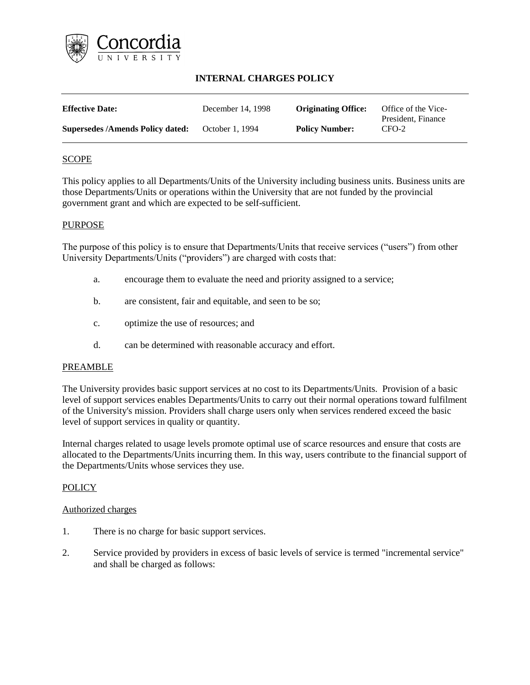

# **INTERNAL CHARGES POLICY**

| <b>Effective Date:</b>                  | December 14, 1998 | <b>Originating Office:</b> | Office of the Vice-<br>President, Finance |
|-----------------------------------------|-------------------|----------------------------|-------------------------------------------|
| <b>Supersedes /Amends Policy dated:</b> | October 1, 1994   | <b>Policy Number:</b>      | $CFO-2$                                   |

## SCOPE

This policy applies to all Departments/Units of the University including business units. Business units are those Departments/Units or operations within the University that are not funded by the provincial government grant and which are expected to be self-sufficient.

### PURPOSE

The purpose of this policy is to ensure that Departments/Units that receive services ("users") from other University Departments/Units ("providers") are charged with costs that:

- a. encourage them to evaluate the need and priority assigned to a service;
- b. are consistent, fair and equitable, and seen to be so;
- c. optimize the use of resources; and
- d. can be determined with reasonable accuracy and effort.

#### PREAMBLE

The University provides basic support services at no cost to its Departments/Units. Provision of a basic level of support services enables Departments/Units to carry out their normal operations toward fulfilment of the University's mission. Providers shall charge users only when services rendered exceed the basic level of support services in quality or quantity.

Internal charges related to usage levels promote optimal use of scarce resources and ensure that costs are allocated to the Departments/Units incurring them. In this way, users contribute to the financial support of the Departments/Units whose services they use.

## **POLICY**

#### Authorized charges

- 1. There is no charge for basic support services.
- 2. Service provided by providers in excess of basic levels of service is termed "incremental service" and shall be charged as follows: